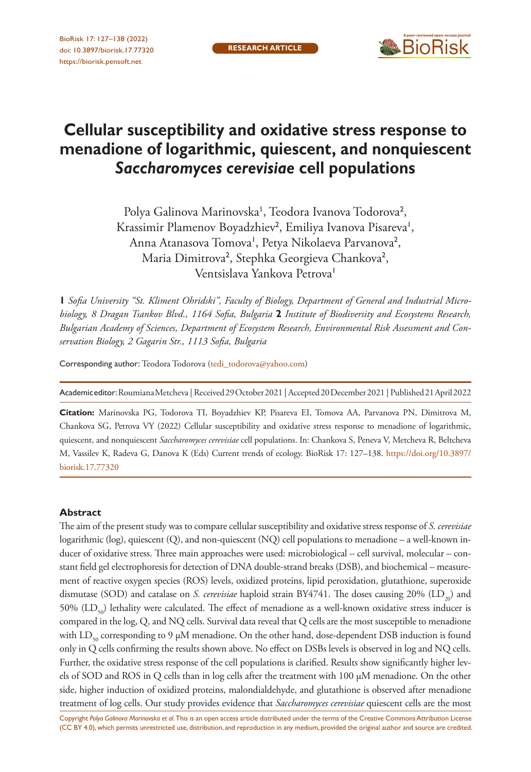

# **Cellular susceptibility and oxidative stress response to menadione of logarithmic, quiescent, and nonquiescent**  *Saccharomyces cerevisiae* **cell populations**

Polya Galinova Marinovska<sup>1</sup>, Teodora Ivanova Todorova<sup>2</sup>, Krassimir Plamenov Boyadzhiev<sup>2</sup>, Emiliya Ivanova Pisareva<sup>1</sup>, Anna Atanasova Tomova', Petya Nikolaeva Parvanova<sup>2</sup>, Maria Dimitrova<sup>2</sup>, Stephka Georgieva Chankova<sup>2</sup>, Ventsislava Yankova Petrova<sup>1</sup>

**1** *Sofia University "St. Kliment Ohridski", Faculty of Biology, Department of General and Industrial Microbiology, 8 Dragan Tsankov Blvd., 1164 Sofia, Bulgaria* **2** *Institute of Biodiversity and Ecosystems Research, Bulgarian Academy of Sciences, Department of Ecosystem Research, Environmental Risk Assessment and Conservation Biology, 2 Gagarin Str., 1113 Sofia, Bulgaria*

Corresponding author: Teodora Todorova ([tedi\\_todorova@yahoo.com\)](mailto:tedi_todorova@yahoo.com)

Academic editor: Roumiana Metcheva | Received 29 October 2021 | Accepted 20 December 2021 | Published 21 April 2022

**Citation:** Marinovska PG, Todorova TI, Boyadzhiev KP, Pisareva EI, Tomova AA, Parvanova PN, Dimitrova M, Chankova SG, Petrova VY (2022) Cellular susceptibility and oxidative stress response to menadione of logarithmic, quiescent, and nonquiescent *Saccharomyces cerevisiae* cell populations. In: Chankova S, Peneva V, Metcheva R, Beltcheva M, Vassilev K, Radeva G, Danova K (Eds) Current trends of ecology. BioRisk 17: 127–138. [https://doi.org/10.3897/](https://doi.org/10.3897/biorisk.17.77320) [biorisk.17.77320](https://doi.org/10.3897/biorisk.17.77320)

#### **Abstract**

The aim of the present study was to compare cellular susceptibility and oxidative stress response of *S. cerevisiae* logarithmic (log), quiescent (Q), and non-quiescent (NQ) cell populations to menadione – a well-known inducer of oxidative stress. Three main approaches were used: microbiological – cell survival, molecular – constant field gel electrophoresis for detection of DNA double-strand breaks (DSB), and biochemical – measurement of reactive oxygen species (ROS) levels, oxidized proteins, lipid peroxidation, glutathione, superoxide dismutase (SOD) and catalase on *S. cerevisiae* haploid strain BY4741. The doses causing 20% (LD<sub>30</sub>) and 50% ( $LD_{50}$ ) lethality were calculated. The effect of menadione as a well-known oxidative stress inducer is compared in the log, Q, and NQ cells. Survival data reveal that Q cells are the most susceptible to menadione with  $LD_{50}$  corresponding to 9  $\mu$ M menadione. On the other hand, dose-dependent DSB induction is found only in Q cells confirming the results shown above. No effect on DSBs levels is observed in log and NQ cells. Further, the oxidative stress response of the cell populations is clarified. Results show significantly higher levels of SOD and ROS in Q cells than in log cells after the treatment with 100 µM menadione. On the other side, higher induction of oxidized proteins, malondialdehyde, and glutathione is observed after menadione treatment of log cells. Our study provides evidence that *Saccharomyces cerevisiae* quiescent cells are the most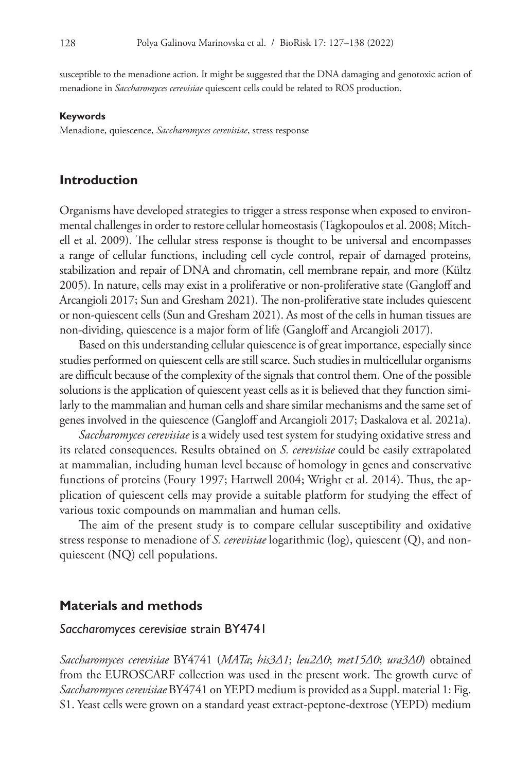susceptible to the menadione action. It might be suggested that the DNA damaging and genotoxic action of menadione in *Saccharomyces cerevisiae* quiescent cells could be related to ROS production.

#### **Keywords**

Menadione, quiescence, *Saccharomyces cerevisiae*, stress response

#### **Introduction**

Organisms have developed strategies to trigger a stress response when exposed to environmental challenges in order to restore cellular homeostasis (Tagkopoulos et al. 2008; Mitchell et al. 2009). The cellular stress response is thought to be universal and encompasses a range of cellular functions, including cell cycle control, repair of damaged proteins, stabilization and repair of DNA and chromatin, cell membrane repair, and more (Kültz 2005). In nature, cells may exist in a proliferative or non-proliferative state (Gangloff and Arcangioli 2017; Sun and Gresham 2021). The non-proliferative state includes quiescent or non-quiescent cells (Sun and Gresham 2021). As most of the cells in human tissues are non-dividing, quiescence is a major form of life (Gangloff and Arcangioli 2017).

Based on this understanding cellular quiescence is of great importance, especially since studies performed on quiescent cells are still scarce. Such studies in multicellular organisms are difficult because of the complexity of the signals that control them. One of the possible solutions is the application of quiescent yeast cells as it is believed that they function similarly to the mammalian and human cells and share similar mechanisms and the same set of genes involved in the quiescence (Gangloff and Arcangioli 2017; Daskalova et al. 2021a).

*Saccharomyces cerevisiae* is a widely used test system for studying oxidative stress and its related consequences. Results obtained on *S. cerevisiae* could be easily extrapolated at mammalian, including human level because of homology in genes and conservative functions of proteins (Foury 1997; Hartwell 2004; Wright et al. 2014). Thus, the application of quiescent cells may provide a suitable platform for studying the effect of various toxic compounds on mammalian and human cells.

The aim of the present study is to compare cellular susceptibility and oxidative stress response to menadione of *S. cerevisiae* logarithmic (log), quiescent (Q), and nonquiescent (NQ) cell populations.

### **Materials and methods**

### *Saccharomyces cerevisiae* strain BY4741

*Saccharomyces cerevisiae* BY4741 (*MATa*; *his3Δ1*; *leu2Δ0*; *met15Δ0*; *ura3Δ0*) obtained from the EUROSCARF collection was used in the present work. The growth curve of *Saccharomyces cerevisiae* BY4741 on YEPD medium is provided as a Suppl. material 1: Fig. S1. Yeast cells were grown on a standard yeast extract-peptone-dextrose (YEPD) medium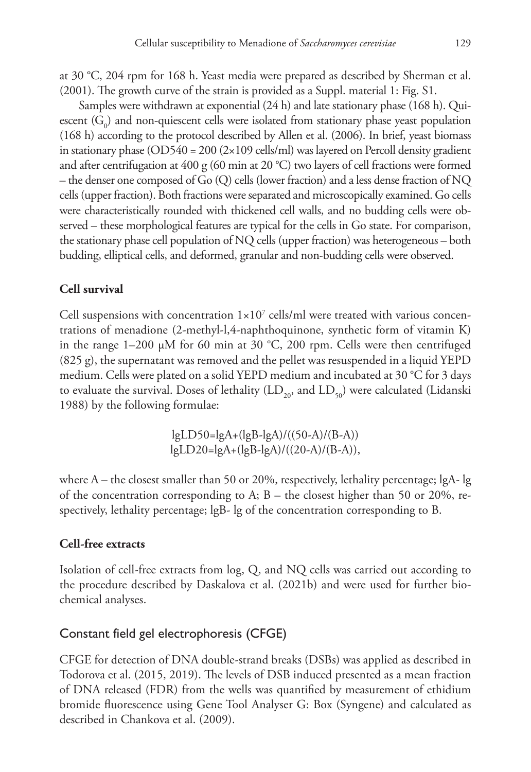at 30 °C, 204 rpm for 168 h. Yeast media were prepared as described by Sherman et al. (2001). The growth curve of the strain is provided as a Suppl. material 1: Fig. S1.

Samples were withdrawn at exponential (24 h) and late stationary phase (168 h). Quiescent  $(G_0)$  and non-quiescent cells were isolated from stationary phase yeast population (168 h) according to the protocol described by Allen et al. (2006). In brief, yeast biomass in stationary phase (OD540 = 200 (2×109 cells/ml) was layered on Percoll density gradient and after centrifugation at 400 g (60 min at 20 °C) two layers of cell fractions were formed – the denser one composed of Go (Q) cells (lower fraction) and a less dense fraction of NQ cells (upper fraction). Both fractions were separated and microscopically examined. Go cells were characteristically rounded with thickened cell walls, and no budding cells were observed – these morphological features are typical for the cells in Go state. For comparison, the stationary phase cell population of NQ cells (upper fraction) was heterogeneous – both budding, elliptical cells, and deformed, granular and non-budding cells were observed.

# **Cell survival**

Cell suspensions with concentration  $1 \times 10^7$  cells/ml were treated with various concentrations of menadione (2-methyl-l,4-naphthoquinone, synthetic form of vitamin K) in the range 1–200 µM for 60 min at 30 °C, 200 rpm. Cells were then centrifuged (825 g), the supernatant was removed and the pellet was resuspended in a liquid YEPD medium. Cells were plated on a solid YEPD medium and incubated at 30 °C for 3 days to evaluate the survival. Doses of lethality  $(LD_{20}, \text{ and } LD_{50})$  were calculated (Lidanski 1988) by the following formulae:

> lgLD50=lgA+(lgB-lgA)/((50-A)/(B-A)) lgLD20=lgA+(lgB-lgA)/((20-A)/(B-A)),

where A – the closest smaller than 50 or 20%, respectively, lethality percentage; lgA- lg of the concentration corresponding to A;  $B$  – the closest higher than 50 or 20%, respectively, lethality percentage; lgB- lg of the concentration corresponding to B.

# **Cell-free extracts**

Isolation of cell-free extracts from log, Q, and NQ cells was carried out according to the procedure described by Daskalova et al. (2021b) and were used for further biochemical analyses.

# Constant field gel electrophoresis (CFGE)

CFGE for detection of DNA double-strand breaks (DSBs) was applied as described in Todorova et al. (2015, 2019). The levels of DSB induced presented as a mean fraction of DNA released (FDR) from the wells was quantified by measurement of ethidium bromide fluorescence using Gene Tool Analyser G: Box (Syngene) and calculated as described in Chankova et al. (2009).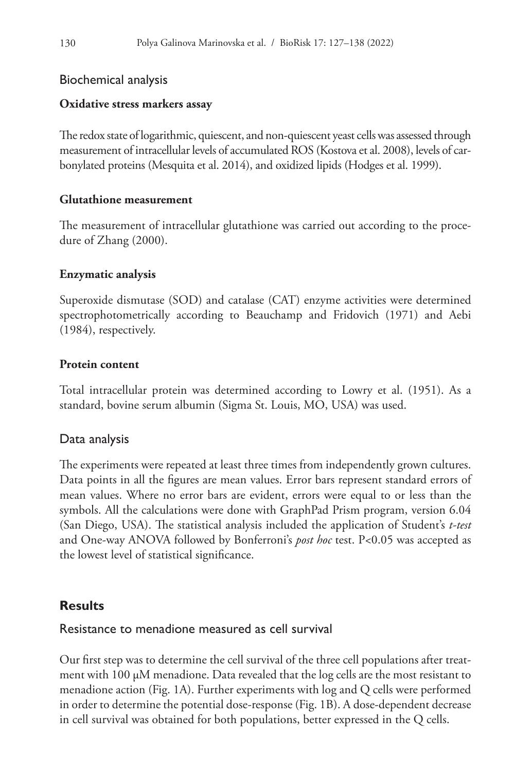# Biochemical analysis

# **Oxidative stress markers assay**

The redox state of logarithmic, quiescent, and non-quiescent yeast cells was assessed through measurement of intracellular levels of accumulated ROS (Kostova et al. 2008), levels of carbonylated proteins (Mesquita et al. 2014), and oxidized lipids (Hodges et al. 1999).

### **Glutathione measurement**

The measurement of intracellular glutathione was carried out according to the procedure of Zhang (2000).

# **Enzymatic analysis**

Superoxide dismutase (SOD) and catalase (CAT) enzyme activities were determined spectrophotometrically according to Beauchamp and Fridovich (1971) and Aebi (1984), respectively.

# **Protein content**

Total intracellular protein was determined according to Lowry et al. (1951). As a standard, bovine serum albumin (Sigma St. Louis, MO, USA) was used.

# Data analysis

The experiments were repeated at least three times from independently grown cultures. Data points in all the figures are mean values. Error bars represent standard errors of mean values. Where no error bars are evident, errors were equal to or less than the symbols. All the calculations were done with GraphPad Prism program, version 6.04 (San Diego, USA). The statistical analysis included the application of Student's *t-test* and One-way ANOVA followed by Bonferroni's *post hoc* test. P<0.05 was accepted as the lowest level of statistical significance.

# **Results**

# Resistance to menadione measured as cell survival

Our first step was to determine the cell survival of the three cell populations after treatment with 100 µM menadione. Data revealed that the log cells are the most resistant to menadione action (Fig. 1A). Further experiments with log and Q cells were performed in order to determine the potential dose-response (Fig. 1B). A dose-dependent decrease in cell survival was obtained for both populations, better expressed in the Q cells.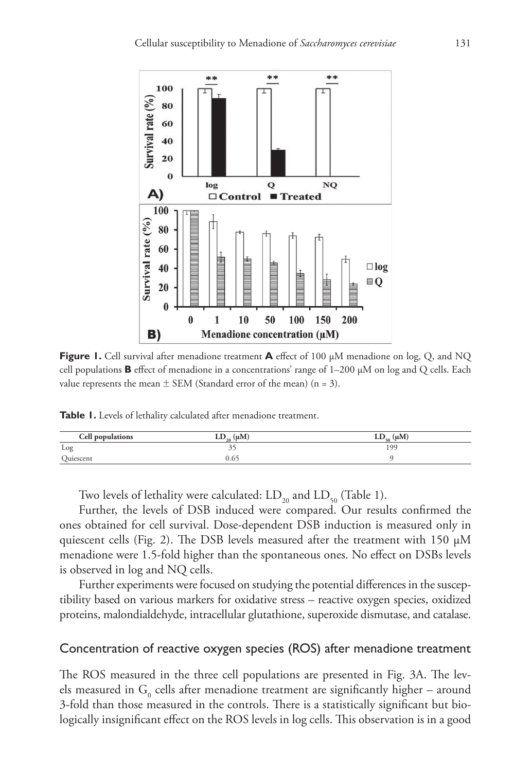

**Figure 1.** Cell survival after menadione treatment **A** effect of 100 µM menadione on log, Q, and NQ cell populations **B** effect of menadione in a concentrations' range of  $1-200 \mu M$  on log and Q cells. Each value represents the mean  $\pm$  SEM (Standard error of the mean) (n = 3).

**Table 1.** Levels of lethality calculated after menadione treatment.

| Cell populations | $LD_{20} (\mu M)$ | $LD_{\epsilon_0}$ (µM |
|------------------|-------------------|-----------------------|
| Log              |                   | 199                   |
| Quiescent        | ____              |                       |

Two levels of lethality were calculated:  $LD_{20}$  and  $LD_{50}$  (Table 1).

Further, the levels of DSB induced were compared. Our results confirmed the ones obtained for cell survival. Dose-dependent DSB induction is measured only in quiescent cells (Fig. 2). The DSB levels measured after the treatment with 150  $\mu$ M menadione were 1.5-fold higher than the spontaneous ones. No effect on DSBs levels is observed in log and NQ cells.

Further experiments were focused on studying the potential differences in the susceptibility based on various markers for oxidative stress – reactive oxygen species, oxidized proteins, malondialdehyde, intracellular glutathione, superoxide dismutase, and catalase.

### Concentration of reactive oxygen species (ROS) after menadione treatment

The ROS measured in the three cell populations are presented in Fig. 3A. The levels measured in  $\mathrm{G}_{_{0}}$  cells after menadione treatment are significantly higher – around 3-fold than those measured in the controls. There is a statistically significant but biologically insignificant effect on the ROS levels in log cells. This observation is in a good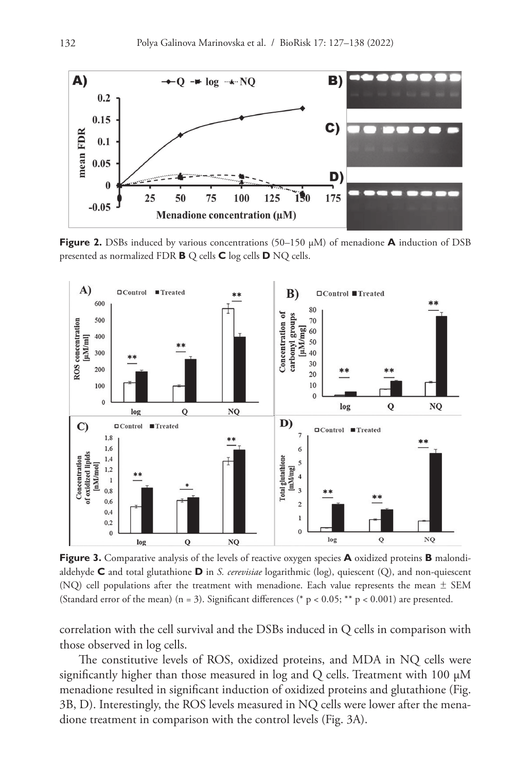

**Figure 2.** DSBs induced by various concentrations (50–150 µM) of menadione **A** induction of DSB presented as normalized FDR **B** Q cells **C** log cells **D** NQ cells.

![](_page_5_Figure_3.jpeg)

**Figure 3.** Comparative analysis of the levels of reactive oxygen species **A** oxidized proteins **B** malondialdehyde **C** and total glutathione **D** in *S. cerevisiae* logarithmic (log), quiescent (Q), and non-quiescent (NQ) cell populations after the treatment with menadione. Each value represents the mean  $\pm$  SEM (Standard error of the mean) (n = 3). Significant differences (\* p < 0.05; \*\* p < 0.001) are presented.

correlation with the cell survival and the DSBs induced in Q cells in comparison with those observed in log cells.

The constitutive levels of ROS, oxidized proteins, and MDA in NQ cells were significantly higher than those measured in  $log$  and Q cells. Treatment with 100  $\mu$ M menadione resulted in significant induction of oxidized proteins and glutathione (Fig. 3B, D). Interestingly, the ROS levels measured in NQ cells were lower after the menadione treatment in comparison with the control levels (Fig. 3A).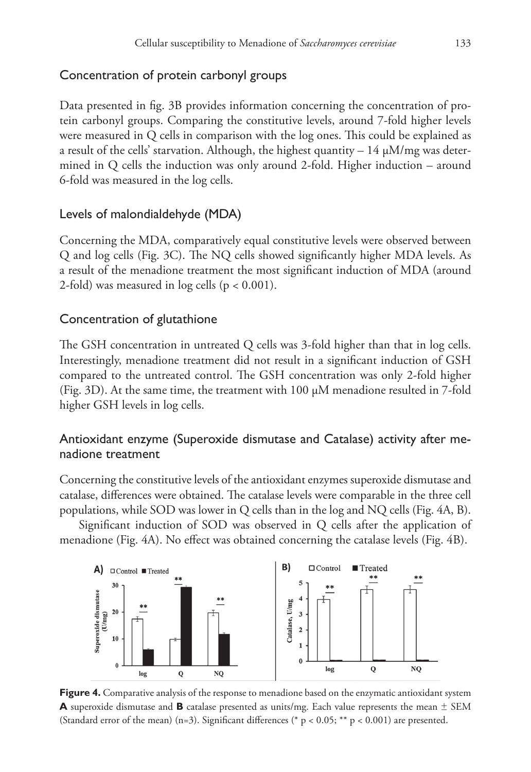# Concentration of protein carbonyl groups

Data presented in fig. 3B provides information concerning the concentration of protein carbonyl groups. Comparing the constitutive levels, around 7-fold higher levels were measured in Q cells in comparison with the log ones. This could be explained as a result of the cells' starvation. Although, the highest quantity  $-14 \mu M/mg$  was determined in Q cells the induction was only around 2-fold. Higher induction – around 6-fold was measured in the log cells.

### Levels of malondialdehyde (MDA)

Concerning the MDA, comparatively equal constitutive levels were observed between Q and log cells (Fig. 3C). The NQ cells showed significantly higher MDA levels. As a result of the menadione treatment the most significant induction of MDA (around 2-fold) was measured in log cells (p < 0.001).

### Concentration of glutathione

The GSH concentration in untreated Q cells was 3-fold higher than that in log cells. Interestingly, menadione treatment did not result in a significant induction of GSH compared to the untreated control. The GSH concentration was only 2-fold higher (Fig. 3D). At the same time, the treatment with 100 µM menadione resulted in 7-fold higher GSH levels in log cells.

# Antioxidant enzyme (Superoxide dismutase and Catalase) activity after menadione treatment

Concerning the constitutive levels of the antioxidant enzymes superoxide dismutase and catalase, differences were obtained. The catalase levels were comparable in the three cell populations, while SOD was lower in Q cells than in the log and NQ cells (Fig. 4A, B).

Significant induction of SOD was observed in Q cells after the application of menadione (Fig. 4A). No effect was obtained concerning the catalase levels (Fig. 4B).

![](_page_6_Figure_10.jpeg)

**Figure 4.** Comparative analysis of the response to menadione based on the enzymatic antioxidant system **A** superoxide dismutase and **B** catalase presented as units/mg. Each value represents the mean  $\pm$  SEM (Standard error of the mean) (n=3). Significant differences (\* p < 0.05; \*\* p < 0.001) are presented.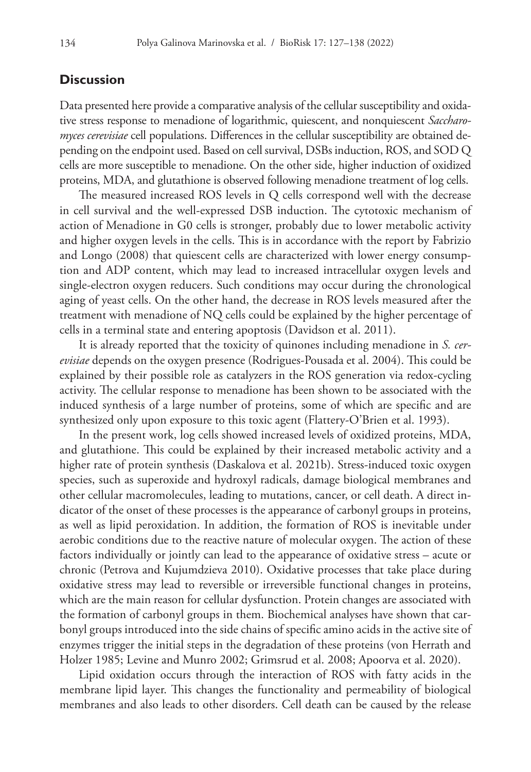### **Discussion**

Data presented here provide a comparative analysis of the cellular susceptibility and oxidative stress response to menadione of logarithmic, quiescent, and nonquiescent *Saccharomyces cerevisiae* cell populations. Differences in the cellular susceptibility are obtained depending on the endpoint used. Based on cell survival, DSBs induction, ROS, and SOD Q cells are more susceptible to menadione. On the other side, higher induction of oxidized proteins, MDA, and glutathione is observed following menadione treatment of log cells.

The measured increased ROS levels in Q cells correspond well with the decrease in cell survival and the well-expressed DSB induction. The cytotoxic mechanism of action of Menadione in G0 cells is stronger, probably due to lower metabolic activity and higher oxygen levels in the cells. This is in accordance with the report by Fabrizio and Longo (2008) that quiescent cells are characterized with lower energy consumption and ADP content, which may lead to increased intracellular oxygen levels and single-electron oxygen reducers. Such conditions may occur during the chronological aging of yeast cells. On the other hand, the decrease in ROS levels measured after the treatment with menadione of NQ cells could be explained by the higher percentage of cells in a terminal state and entering apoptosis (Davidson et al. 2011).

It is already reported that the toxicity of quinones including menadione in *S. cerevisiae* depends on the oxygen presence (Rodrigues-Pousada et al. 2004). This could be explained by their possible role as catalyzers in the ROS generation via redox-cycling activity. The cellular response to menadione has been shown to be associated with the induced synthesis of a large number of proteins, some of which are specific and are synthesized only upon exposure to this toxic agent (Flattery-O'Brien et al. 1993).

In the present work, log cells showed increased levels of oxidized proteins, MDA, and glutathione. This could be explained by their increased metabolic activity and a higher rate of protein synthesis (Daskalova et al. 2021b). Stress-induced toxic oxygen species, such as superoxide and hydroxyl radicals, damage biological membranes and other cellular macromolecules, leading to mutations, cancer, or cell death. A direct indicator of the onset of these processes is the appearance of carbonyl groups in proteins, as well as lipid peroxidation. In addition, the formation of ROS is inevitable under aerobic conditions due to the reactive nature of molecular oxygen. The action of these factors individually or jointly can lead to the appearance of oxidative stress – acute or chronic (Petrova and Kujumdzieva 2010). Oxidative processes that take place during oxidative stress may lead to reversible or irreversible functional changes in proteins, which are the main reason for cellular dysfunction. Protein changes are associated with the formation of carbonyl groups in them. Biochemical analyses have shown that carbonyl groups introduced into the side chains of specific amino acids in the active site of enzymes trigger the initial steps in the degradation of these proteins (von Herrath and Holzer 1985; Levine and Munro 2002; Grimsrud et al. 2008; Apoorva et al. 2020).

Lipid oxidation occurs through the interaction of ROS with fatty acids in the membrane lipid layer. This changes the functionality and permeability of biological membranes and also leads to other disorders. Cell death can be caused by the release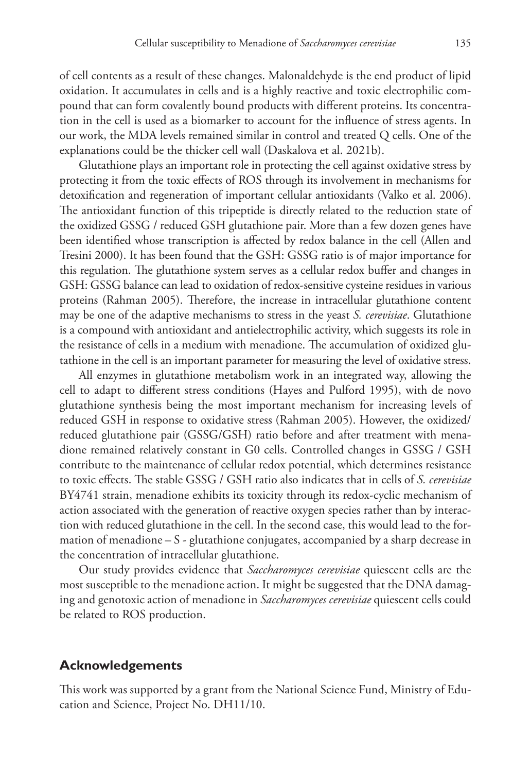of cell contents as a result of these changes. Malonaldehyde is the end product of lipid oxidation. It accumulates in cells and is a highly reactive and toxic electrophilic compound that can form covalently bound products with different proteins. Its concentration in the cell is used as a biomarker to account for the influence of stress agents. In our work, the MDA levels remained similar in control and treated Q cells. One of the explanations could be the thicker cell wall (Daskalova et al. 2021b).

Glutathione plays an important role in protecting the cell against oxidative stress by protecting it from the toxic effects of ROS through its involvement in mechanisms for detoxification and regeneration of important cellular antioxidants (Valko et al. 2006). The antioxidant function of this tripeptide is directly related to the reduction state of the oxidized GSSG / reduced GSH glutathione pair. More than a few dozen genes have been identified whose transcription is affected by redox balance in the cell (Allen and Tresini 2000). It has been found that the GSH: GSSG ratio is of major importance for this regulation. The glutathione system serves as a cellular redox buffer and changes in GSH: GSSG balance can lead to oxidation of redox-sensitive cysteine residues in various proteins (Rahman 2005). Therefore, the increase in intracellular glutathione content may be one of the adaptive mechanisms to stress in the yeast *S. cerevisiae*. Glutathione is a compound with antioxidant and antielectrophilic activity, which suggests its role in the resistance of cells in a medium with menadione. The accumulation of oxidized glutathione in the cell is an important parameter for measuring the level of oxidative stress.

All enzymes in glutathione metabolism work in an integrated way, allowing the cell to adapt to different stress conditions (Hayes and Pulford 1995), with de novo glutathione synthesis being the most important mechanism for increasing levels of reduced GSH in response to oxidative stress (Rahman 2005). However, the oxidized/ reduced glutathione pair (GSSG/GSH) ratio before and after treatment with menadione remained relatively constant in G0 cells. Controlled changes in GSSG / GSH contribute to the maintenance of cellular redox potential, which determines resistance to toxic effects. The stable GSSG / GSH ratio also indicates that in cells of *S. cerevisiae* BY4741 strain, menadione exhibits its toxicity through its redox-cyclic mechanism of action associated with the generation of reactive oxygen species rather than by interaction with reduced glutathione in the cell. In the second case, this would lead to the formation of menadione – S - glutathione conjugates, accompanied by a sharp decrease in the concentration of intracellular glutathione.

Our study provides evidence that *Saccharomyces cerevisiae* quiescent cells are the most susceptible to the menadione action. It might be suggested that the DNA damaging and genotoxic action of menadione in *Saccharomyces cerevisiae* quiescent cells could be related to ROS production.

### **Acknowledgements**

This work was supported by a grant from the National Science Fund, Ministry of Education and Science, Project No. DH11/10.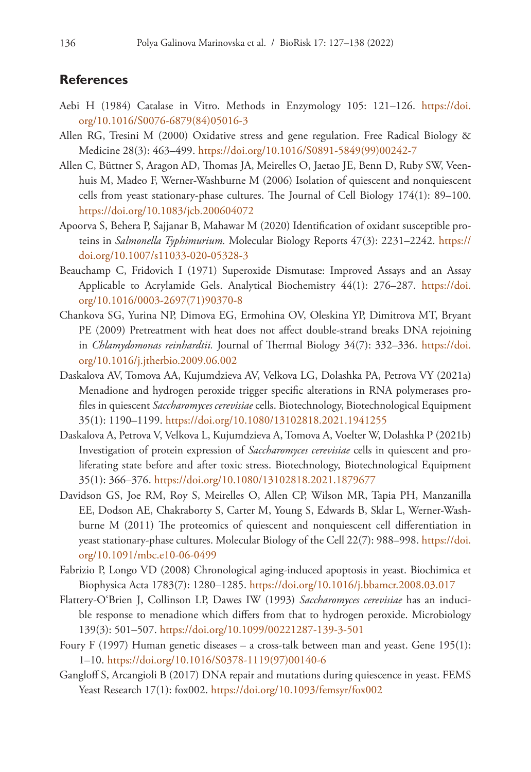#### **References**

- Aebi H (1984) Catalase in Vitro. Methods in Enzymology 105: 121–126. [https://doi.](https://doi.org/10.1016/S0076-6879(84)05016-3) [org/10.1016/S0076-6879\(84\)05016-3](https://doi.org/10.1016/S0076-6879(84)05016-3)
- Allen RG, Tresini M (2000) Oxidative stress and gene regulation. Free Radical Biology & Medicine 28(3): 463–499. [https://doi.org/10.1016/S0891-5849\(99\)00242-7](https://doi.org/10.1016/S0891-5849(99)00242-7)
- Allen C, Büttner S, Aragon AD, Thomas JA, Meirelles O, Jaetao JE, Benn D, Ruby SW, Veenhuis M, Madeo F, Werner-Washburne M (2006) Isolation of quiescent and nonquiescent cells from yeast stationary-phase cultures. The Journal of Cell Biology 174(1): 89–100. <https://doi.org/10.1083/jcb.200604072>
- Apoorva S, Behera P, Sajjanar B, Mahawar M (2020) Identification of oxidant susceptible proteins in *Salmonella Typhimurium.* Molecular Biology Reports 47(3): 2231–2242. [https://](https://doi.org/10.1007/s11033-020-05328-3) [doi.org/10.1007/s11033-020-05328-3](https://doi.org/10.1007/s11033-020-05328-3)
- Beauchamp C, Fridovich I (1971) Superoxide Dismutase: Improved Assays and an Assay Applicable to Acrylamide Gels. Analytical Biochemistry 44(1): 276–287. [https://doi.](https://doi.org/10.1016/0003-2697(71)90370-8) [org/10.1016/0003-2697\(71\)90370-8](https://doi.org/10.1016/0003-2697(71)90370-8)
- Chankova SG, Yurina NP, Dimova EG, Ermohina OV, Oleskina YP, Dimitrova MT, Bryant PE (2009) Pretreatment with heat does not affect double-strand breaks DNA rejoining in *Chlamydomonas reinhardtii.* Journal of Thermal Biology 34(7): 332–336. [https://doi.](https://doi.org/10.1016/j.jtherbio.2009.06.002) [org/10.1016/j.jtherbio.2009.06.002](https://doi.org/10.1016/j.jtherbio.2009.06.002)
- Daskalova AV, Tomova AA, Kujumdzieva AV, Velkova LG, Dolashka PA, Petrova VY (2021a) Menadione and hydrogen peroxide trigger specific alterations in RNA polymerases profiles in quiescent *Saccharomyces cerevisiae* cells. Biotechnology, Biotechnological Equipment 35(1): 1190–1199. <https://doi.org/10.1080/13102818.2021.1941255>
- Daskalova A, Petrova V, Velkova L, Kujumdzieva A, Tomova A, Voelter W, Dolashka P (2021b) Investigation of protein expression of *Saccharomyces cerevisiae* cells in quiescent and proliferating state before and after toxic stress. Biotechnology, Biotechnological Equipment 35(1): 366–376. <https://doi.org/10.1080/13102818.2021.1879677>
- Davidson GS, Joe RM, Roy S, Meirelles O, Allen CP, Wilson MR, Tapia PH, Manzanilla EE, Dodson AE, Chakraborty S, Carter M, Young S, Edwards B, Sklar L, Werner-Washburne M (2011) The proteomics of quiescent and nonquiescent cell differentiation in yeast stationary-phase cultures. Molecular Biology of the Cell 22(7): 988–998. [https://doi.](https://doi.org/10.1091/mbc.e10-06-0499) [org/10.1091/mbc.e10-06-0499](https://doi.org/10.1091/mbc.e10-06-0499)
- Fabrizio P, Longo VD (2008) Chronological aging-induced apoptosis in yeast. Biochimica et Biophysica Acta 1783(7): 1280–1285. <https://doi.org/10.1016/j.bbamcr.2008.03.017>
- Flattery-O'Brien J, Collinson LP, Dawes IW (1993) *Saccharomyces cerevisiae* has an inducible response to menadione which differs from that to hydrogen peroxide. Microbiology 139(3): 501–507. <https://doi.org/10.1099/00221287-139-3-501>
- Foury F (1997) Human genetic diseases a cross-talk between man and yeast. Gene 195(1): 1–10. [https://doi.org/10.1016/S0378-1119\(97\)00140-6](https://doi.org/10.1016/S0378-1119(97)00140-6)
- Gangloff S, Arcangioli B (2017) DNA repair and mutations during quiescence in yeast. FEMS Yeast Research 17(1): fox002. <https://doi.org/10.1093/femsyr/fox002>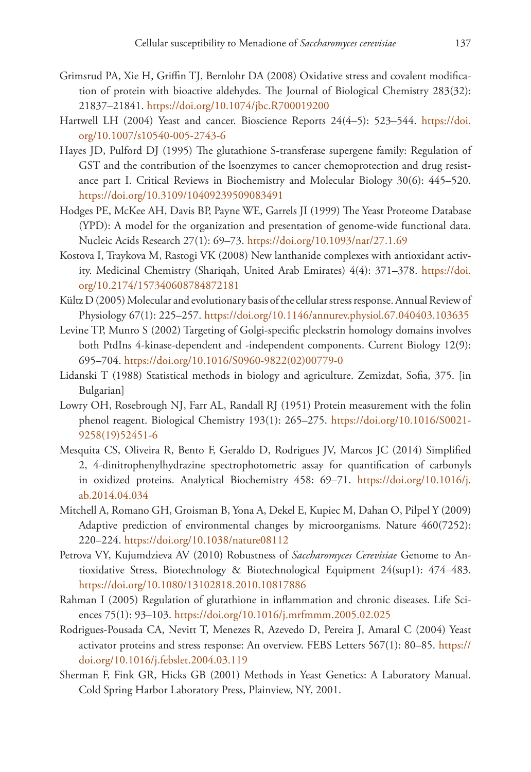- Grimsrud PA, Xie H, Griffin TJ, Bernlohr DA (2008) Oxidative stress and covalent modification of protein with bioactive aldehydes. The Journal of Biological Chemistry 283(32): 21837–21841.<https://doi.org/10.1074/jbc.R700019200>
- Hartwell LH (2004) Yeast and cancer. Bioscience Reports 24(4–5): 523–544. [https://doi.](https://doi.org/10.1007/s10540-005-2743-6) [org/10.1007/s10540-005-2743-6](https://doi.org/10.1007/s10540-005-2743-6)
- Hayes JD, Pulford DJ (1995) The glutathione S-transferase supergene family: Regulation of GST and the contribution of the lsoenzymes to cancer chemoprotection and drug resistance part I. Critical Reviews in Biochemistry and Molecular Biology 30(6): 445–520. <https://doi.org/10.3109/10409239509083491>
- Hodges PE, McKee AH, Davis BP, Payne WE, Garrels JI (1999) The Yeast Proteome Database (YPD): A model for the organization and presentation of genome-wide functional data. Nucleic Acids Research 27(1): 69–73. <https://doi.org/10.1093/nar/27.1.69>
- Kostova I, Traykova M, Rastogi VK (2008) New lanthanide complexes with antioxidant activity. Medicinal Chemistry (Shariqah, United Arab Emirates) 4(4): 371–378. [https://doi.](https://doi.org/10.2174/157340608784872181) [org/10.2174/157340608784872181](https://doi.org/10.2174/157340608784872181)
- Kültz D (2005) Molecular and evolutionary basis of the cellular stress response. Annual Review of Physiology 67(1): 225–257.<https://doi.org/10.1146/annurev.physiol.67.040403.103635>
- Levine TP, Munro S (2002) Targeting of Golgi-specific pleckstrin homology domains involves both PtdIns 4-kinase-dependent and -independent components. Current Biology 12(9): 695–704. [https://doi.org/10.1016/S0960-9822\(02\)00779-0](https://doi.org/10.1016/S0960-9822(02)00779-0)
- Lidanski T (1988) Statistical methods in biology and agriculture. Zemizdat, Sofia, 375. [in Bulgarian]
- Lowry OH, Rosebrough NJ, Farr AL, Randall RJ (1951) Protein measurement with the folin phenol reagent. Biological Chemistry 193(1): 265–275. [https://doi.org/10.1016/S0021-](https://doi.org/10.1016/S0021-9258(19)52451-6) [9258\(19\)52451-6](https://doi.org/10.1016/S0021-9258(19)52451-6)
- Mesquita CS, Oliveira R, Bento F, Geraldo D, Rodrigues JV, Marcos JC (2014) Simplified 2, 4-dinitrophenylhydrazine spectrophotometric assay for quantification of carbonyls in oxidized proteins. Analytical Biochemistry 458: 69–71. [https://doi.org/10.1016/j.](https://doi.org/10.1016/j.ab.2014.04.034) [ab.2014.04.034](https://doi.org/10.1016/j.ab.2014.04.034)
- Mitchell A, Romano GH, Groisman B, Yona A, Dekel E, Kupiec M, Dahan O, Pilpel Y (2009) Adaptive prediction of environmental changes by microorganisms. Nature 460(7252): 220–224.<https://doi.org/10.1038/nature08112>
- Petrova VY, Kujumdzieva AV (2010) Robustness of *Saccharomyces Cerevisiae* Genome to Antioxidative Stress, Biotechnology & Biotechnological Equipment 24(sup1): 474–483. <https://doi.org/10.1080/13102818.2010.10817886>
- Rahman I (2005) Regulation of glutathione in inflammation and chronic diseases. Life Sciences 75(1): 93–103. <https://doi.org/10.1016/j.mrfmmm.2005.02.025>
- Rodrigues-Pousada CA, Nevitt T, Menezes R, Azevedo D, Pereira J, Amaral C (2004) Yeast activator proteins and stress response: An overview. FEBS Letters 567(1): 80–85. [https://](https://doi.org/10.1016/j.febslet.2004.03.119) [doi.org/10.1016/j.febslet.2004.03.119](https://doi.org/10.1016/j.febslet.2004.03.119)
- Sherman F, Fink GR, Hicks GB (2001) Methods in Yeast Genetics: A Laboratory Manual. Cold Spring Harbor Laboratory Press, Plainview, NY, 2001.